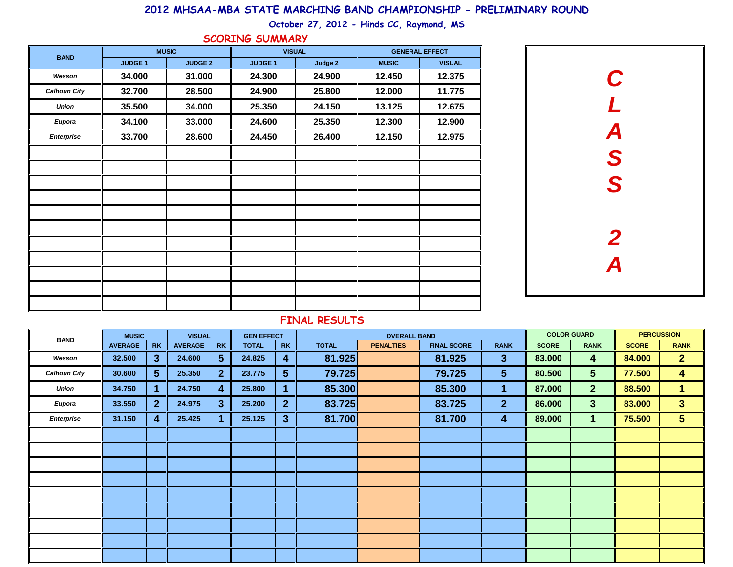### **2012 MHSAA-MBA STATE MARCHING BAND CHAMPIONSHIP - PRELIMINARY ROUND**

**October 27, 2012 - Hinds CC, Raymond, MS**

#### **SCORING SUMMARY**

| <b>BAND</b>         |                | <b>MUSIC</b>   | <b>VISUAL</b> |         | <b>GENERAL EFFECT</b> |               |  |  |  |  |
|---------------------|----------------|----------------|---------------|---------|-----------------------|---------------|--|--|--|--|
|                     | <b>JUDGE 1</b> | <b>JUDGE 2</b> | <b>JUDGE1</b> | Judge 2 | <b>MUSIC</b>          | <b>VISUAL</b> |  |  |  |  |
| Wesson              | 34.000         | 31.000         | 24.300        | 24.900  | 12.450                | 12.375        |  |  |  |  |
| <b>Calhoun City</b> | 32.700         | 28.500         | 24.900        | 25.800  | 12.000                | 11.775        |  |  |  |  |
| <b>Union</b>        | 35.500         | 34.000         | 25.350        | 24.150  | 13.125                | 12.675        |  |  |  |  |
| Eupora              | 34.100         | 33.000         | 24.600        | 25.350  | 12.300                | 12.900        |  |  |  |  |
| Enterprise          | 33.700         | 28.600         | 24.450        | 26.400  | 12.150                | 12.975        |  |  |  |  |
|                     |                |                |               |         |                       |               |  |  |  |  |
|                     |                |                |               |         |                       |               |  |  |  |  |
|                     |                |                |               |         |                       |               |  |  |  |  |
|                     |                |                |               |         |                       |               |  |  |  |  |
|                     |                |                |               |         |                       |               |  |  |  |  |
|                     |                |                |               |         |                       |               |  |  |  |  |
|                     |                |                |               |         |                       |               |  |  |  |  |
|                     |                |                |               |         |                       |               |  |  |  |  |
|                     |                |                |               |         |                       |               |  |  |  |  |
|                     |                |                |               |         |                       |               |  |  |  |  |
|                     |                |                |               |         |                       |               |  |  |  |  |



#### **FINAL RESULTS**

| <b>BAND</b>         |                | <b>VISUAL</b><br><b>MUSIC</b> |                |                         | <b>GEN EFFECT</b> |                |              | <b>OVERALL BAND</b> |                    |                 | <b>COLOR GUARD</b> | <b>PERCUSSION</b>       |              |                |
|---------------------|----------------|-------------------------------|----------------|-------------------------|-------------------|----------------|--------------|---------------------|--------------------|-----------------|--------------------|-------------------------|--------------|----------------|
|                     | <b>AVERAGE</b> | <b>RK</b>                     | <b>AVERAGE</b> | <b>RK</b>               | <b>TOTAL</b>      | <b>RK</b>      | <b>TOTAL</b> | <b>PENALTIES</b>    | <b>FINAL SCORE</b> | <b>RANK</b>     | <b>SCORE</b>       | <b>RANK</b>             | <b>SCORE</b> | <b>RANK</b>    |
| Wesson              | 32.500         | 3 <sup>1</sup>                | 24.600         | 5 <sup>5</sup>          | 24.825            | 4              | 81.925       |                     | 81.925             | $\mathbf{3}$    | 83.000             | $\overline{\mathbf{4}}$ | 84.000       | 2 <sub>2</sub> |
| <b>Calhoun City</b> | 30.600         | 5 <sup>5</sup>                | 25.350         | $\mathbf{2}$            | 23.775            | 5 <sup>5</sup> | 79.725       |                     | 79.725             | $5\phantom{.0}$ | 80.500             | 5 <sup>5</sup>          | 77.500       | 4              |
| Union               | 34.750         | 1                             | 24.750         | $\overline{\mathbf{4}}$ | 25.800            | 1              | 85.300       |                     | 85.300             | 1               | 87.000             | 2 <sup>1</sup>          | 88.500       | $\mathbf{1}$   |
| Eupora              | 33.550         | 2 <sup>1</sup>                | 24.975         | $\mathbf{3}$            | 25.200            | 2 <sub>2</sub> | 83.725       |                     | 83.725             | $\overline{2}$  | 86.000             | 3 <sup>5</sup>          | 83.000       | 3 <sup>1</sup> |
| Enterprise          | 31.150         | 4                             | 25.425         |                         | 25.125            | 3 <sup>5</sup> | 81.700       |                     | 81.700             | 4               | 89.000             | $\blacktriangleleft$    | 75.500       | 5              |
|                     |                |                               |                |                         |                   |                |              |                     |                    |                 |                    |                         |              |                |
|                     |                |                               |                |                         |                   |                |              |                     |                    |                 |                    |                         |              |                |
|                     |                |                               |                |                         |                   |                |              |                     |                    |                 |                    |                         |              |                |
|                     |                |                               |                |                         |                   |                |              |                     |                    |                 |                    |                         |              |                |
|                     |                |                               |                |                         |                   |                |              |                     |                    |                 |                    |                         |              |                |
|                     |                |                               |                |                         |                   |                |              |                     |                    |                 |                    |                         |              |                |
|                     |                |                               |                |                         |                   |                |              |                     |                    |                 |                    |                         |              |                |
|                     |                |                               |                |                         |                   |                |              |                     |                    |                 |                    |                         |              |                |
|                     |                |                               |                |                         |                   |                |              |                     |                    |                 |                    |                         |              |                |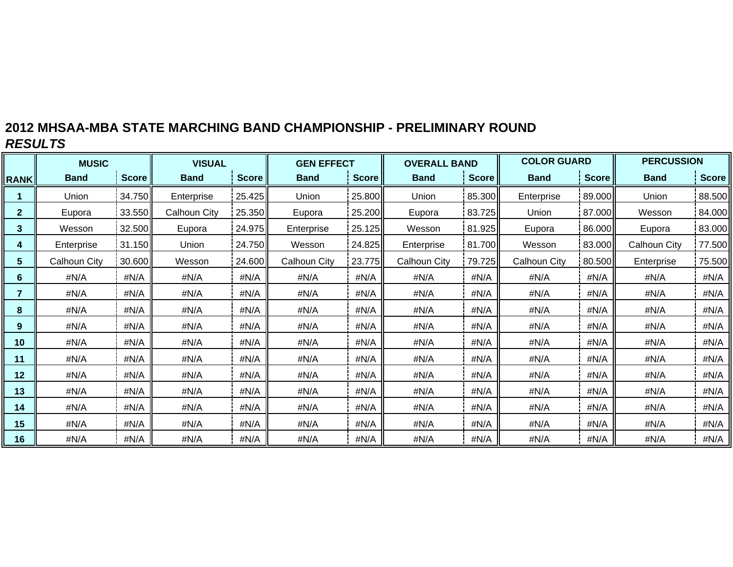# **2012 MHSAA-MBA STATE MARCHING BAND CHAMPIONSHIP - PRELIMINARY ROUND** *RESULTS*

|              | <b>MUSIC</b> |              | <b>VISUAL</b> |        | <b>GEN EFFECT</b>   |              | <b>OVERALL BAND</b> |        | <b>COLOR GUARD</b> |              | <b>PERCUSSION</b> |              |  |
|--------------|--------------|--------------|---------------|--------|---------------------|--------------|---------------------|--------|--------------------|--------------|-------------------|--------------|--|
| <b>RANK</b>  | <b>Band</b>  | <b>Score</b> | <b>Band</b>   | Score  | <b>Band</b>         | <b>Score</b> | <b>Band</b>         | Score  | <b>Band</b>        | <b>Score</b> | <b>Band</b>       | <b>Score</b> |  |
|              | Union        | 34.750       | Enterprise    | 25.425 | Union               | 25.800       | Union               | 85.300 | Enterprise         | 89.000       | Union             | 88.500       |  |
| $\mathbf{2}$ | Eupora       | 33.550       | Calhoun City  | 25.350 | Eupora              | 25.200       | Eupora              | 83.725 | Union              | 87.000       | Wesson            | 84.000       |  |
| 3            | Wesson       | 32.500       | Eupora        | 24.975 | Enterprise          | 25.125       | Wesson              | 81.925 | Eupora             | 86.000       | Eupora            | 83.000       |  |
| 4            | Enterprise   | 31.150       | Union         | 24.750 | Wesson              | 24.825       | Enterprise          | 81.700 | Wesson             | 83.000       | Calhoun City      | 77.500       |  |
| 5            | Calhoun City | 30.600       | Wesson        | 24.600 | <b>Calhoun City</b> | 23.775       | Calhoun City        | 79.725 | Calhoun City       | 80.500       | Enterprise        | 75.500       |  |
| 6            | #N/A         | #N/A         | #N/A          | #N/A   | #N/A                | #N/A         | #N/A                | #N/A   | #N/A               | #N/A         | #N/A              | #N/A         |  |
| 7            | #N/A         | #N/A         | #N/A          | #N/A   | #N/A                | #N/A         | #N/A                | #N/A   | #N/A               | #N/A         | #N/A              | #N/A         |  |
| 8            | #N/A         | #N/A         | #N/A          | #N/A   | #N/A                | #N/A         | #N/A                | #N/A   | #N/A               | #N/A         | #N/A              | #N/A         |  |
| 9            | #N/A         | #N/A         | #N/A          | #N/A   | #N/A                | #N/A         | #N/A                | #N/A   | #N/A               | #N/A         | #N/A              | #N/A         |  |
| 10           | #N/A         | #N/A         | #N/A          | #N/A   | #N/A                | #N/A         | #N/A                | #N/A   |                    | #N/A<br>#N/A |                   | #N/A         |  |
| 11           | #N/A         | #N/A         | #N/A          | #N/A   | #N/A                | #N/A         | #N/A                | #N/A   | #N/A               | #N/A         | #N/A              | #N/A         |  |
| 12           | #N/A         | #N/A         | #N/A          | #N/A   | #N/A                | #N/A         | #N/A                | #N/A   | #N/A               | #N/A         | #N/A              | #N/A         |  |
| 13           | #N/A         | #N/A         | #N/A          | #N/A   | #N/A                | #N/A         | #N/A                | #N/A   | #N/A               | #N/A         | #N/A              | #N/A         |  |
| 14           | #N/A         | #N/A         | #N/A          | #N/A   | #N/A                | #N/A         | #N/A                | #N/A   | #N/A               | #N/A         | #N/A              | #N/A         |  |
| 15           | #N/A         | #N/A         | #N/A          | #N/A   | #N/A                | #N/A         | #N/A                | #N/A   | #N/A<br>#N/A       |              | #N/A              | #N/A         |  |
| 16           | #N/A         | #N/A         | #N/A          | #N/A   | #N/A                | #N/A         | #N/A                | #N/A   | #N/A<br>#N/A       |              | #N/A              | #N/A         |  |